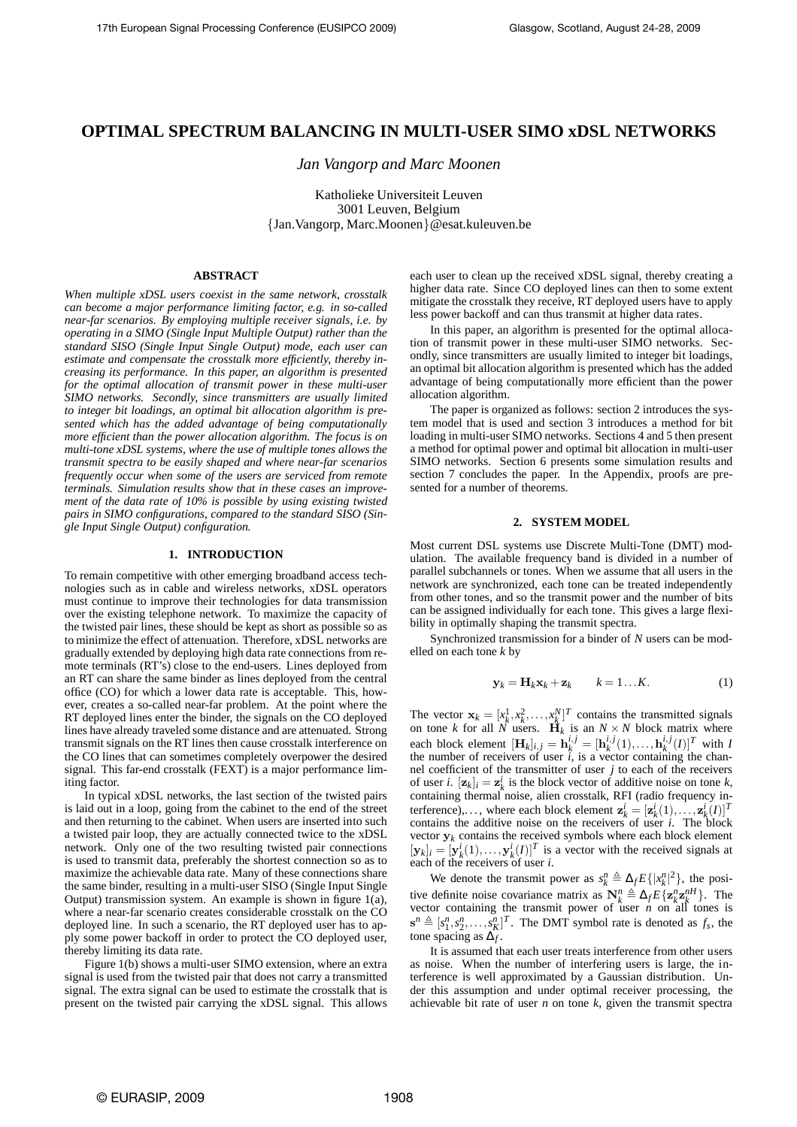# **OPTIMAL SPECTRUM BALANCING IN MULTI-USER SIMO xDSL NETWORKS**

*Jan Vangorp and Marc Moonen*

Katholieke Universiteit Leuven 3001 Leuven, Belgium {Jan.Vangorp, Marc.Moonen}@esat.kuleuven.be

# **ABSTRACT**

*When multiple xDSL users coexist in the same network, crosstalk can become a major performance limiting factor, e.g. in so-called near-far scenarios. By employing multiple receiver signals, i.e. by operating in a SIMO (Single Input Multiple Output) rather than the standard SISO (Single Input Single Output) mode, each user can estimate and compensate the crosstalk more efficiently, thereby increasing its performance. In this paper, an algorithm is presented for the optimal allocation of transmit power in these multi-user SIMO networks. Secondly, since transmitters are usually limited to integer bit loadings, an optimal bit allocation algorithm is presented which has the added advantage of being computationally more efficient than the power allocation algorithm. The focus is on multi-tone xDSL systems, where the use of multiple tones allows the transmit spectra to be easily shaped and where near-far scenarios frequently occur when some of the users are serviced from remote terminals. Simulation results show that in these cases an improvement of the data rate of 10% is possible by using existing twisted pairs in SIMO configurations, compared to the standard SISO (Single Input Single Output) configuration.*

### **1. INTRODUCTION**

To remain competitive with other emerging broadband access technologies such as in cable and wireless networks, xDSL operators must continue to improve their technologies for data transmission over the existing telephone network. To maximize the capacity of the twisted pair lines, these should be kept as short as possible so as to minimize the effect of attenuation. Therefore, xDSL networks are gradually extended by deploying high data rate connections from remote terminals (RT's) close to the end-users. Lines deployed from an RT can share the same binder as lines deployed from the central office (CO) for which a lower data rate is acceptable. This, however, creates a so-called near-far problem. At the point where the RT deployed lines enter the binder, the signals on the CO deployed lines have already traveled some distance and are attenuated. Strong transmit signals on the RT lines then cause crosstalk interference on the CO lines that can sometimes completely overpower the desired signal. This far-end crosstalk (FEXT) is a major performance limiting factor.

In typical xDSL networks, the last section of the twisted pairs is laid out in a loop, going from the cabinet to the end of the street and then returning to the cabinet. When users are inserted into such a twisted pair loop, they are actually connected twice to the xDSL network. Only one of the two resulting twisted pair connections is used to transmit data, preferably the shortest connection so as to maximize the achievable data rate. Many of these connections share the same binder, resulting in a multi-user SISO (Single Input Single Output) transmission system. An example is shown in figure 1(a), where a near-far scenario creates considerable crosstalk on the CO deployed line. In such a scenario, the RT deployed user has to apply some power backoff in order to protect the CO deployed user, thereby limiting its data rate.

Figure 1(b) shows a multi-user SIMO extension, where an extra signal is used from the twisted pair that does not carry a transmitted signal. The extra signal can be used to estimate the crosstalk that is present on the twisted pair carrying the xDSL signal. This allows each user to clean up the received xDSL signal, thereby creating a higher data rate. Since CO deployed lines can then to some extent mitigate the crosstalk they receive, RT deployed users have to apply less power backoff and can thus transmit at higher data rates.

In this paper, an algorithm is presented for the optimal allocation of transmit power in these multi-user SIMO networks. Secondly, since transmitters are usually limited to integer bit loadings, an optimal bit allocation algorithm is presented which has the added advantage of being computationally more efficient than the power allocation algorithm.

The paper is organized as follows: section 2 introduces the system model that is used and section 3 introduces a method for bit loading in multi-user SIMO networks. Sections 4 and 5 then present a method for optimal power and optimal bit allocation in multi-user SIMO networks. Section 6 presents some simulation results and section 7 concludes the paper. In the Appendix, proofs are presented for a number of theorems.

## **2. SYSTEM MODEL**

Most current DSL systems use Discrete Multi-Tone (DMT) modulation. The available frequency band is divided in a number of parallel subchannels or tones. When we assume that all users in the network are synchronized, each tone can be treated independently from other tones, and so the transmit power and the number of bits can be assigned individually for each tone. This gives a large flexibility in optimally shaping the transmit spectra.

Synchronized transmission for a binder of *N* users can be modelled on each tone *k* by

$$
\mathbf{y}_k = \mathbf{H}_k \mathbf{x}_k + \mathbf{z}_k \qquad k = 1...K. \tag{1}
$$

The vector  $\mathbf{x}_k = [x_k^1, x_k^2, \dots, x_k^N]^T$  contains the transmitted signals on tone *k* for all *N* users.  $\mathbf{H}_k$  is an  $N \times N$  block matrix where each block element  $[\mathbf{H}_k]_{i,j} = \mathbf{h}_k^{i,j} = [\mathbf{h}_k^{i,j}(1),...,\mathbf{h}_k^{i,j}(I)]^T$  with *I* the number of receivers of user  $\hat{i}$ , is a vector containing the channel coefficient of the transmitter of user *j* to each of the receivers of user *i*.  $[\mathbf{z}_k]_i = \mathbf{z}_k^i$  is the block vector of additive noise on tone *k*, containing thermal noise, alien crosstalk, RFI (radio frequency interference),..., where each block element  $\mathbf{z}_k^i = [\mathbf{z}_k^i(1), \dots, \mathbf{z}_k^i(I)]^T$ contains the additive noise on the receivers of user  $i$ . The block vector  $y_k$  contains the received symbols where each block element  $[\mathbf{y}_k]_i = [\mathbf{y}_k^i(1), \dots, \mathbf{y}_k^i(I)]^T$  is a vector with the received signals at each of the receivers of user *i*.

We denote the transmit power as  $s_k^n \triangleq \Delta_f E\{|x_k^n|^2\}$ , the positive definite noise covariance matrix as  $N_k^n \triangleq \Delta_f E\{z_k^n z_k^{nH}\}\$ . The vector containing the transmit power of user  $n \text{ on all}$  tones is  $\mathbf{s}^n \triangleq [s_1^n, s_2^n, \dots, s_K^n]^T$ . The DMT symbol rate is denoted as  $f_s$ , the tone spacing as ∆*<sup>f</sup>* .

It is assumed that each user treats interference from other users as noise. When the number of interfering users is large, the interference is well approximated by a Gaussian distribution. Under this assumption and under optimal receiver processing, the achievable bit rate of user  $n$  on tone  $k$ , given the transmit spectra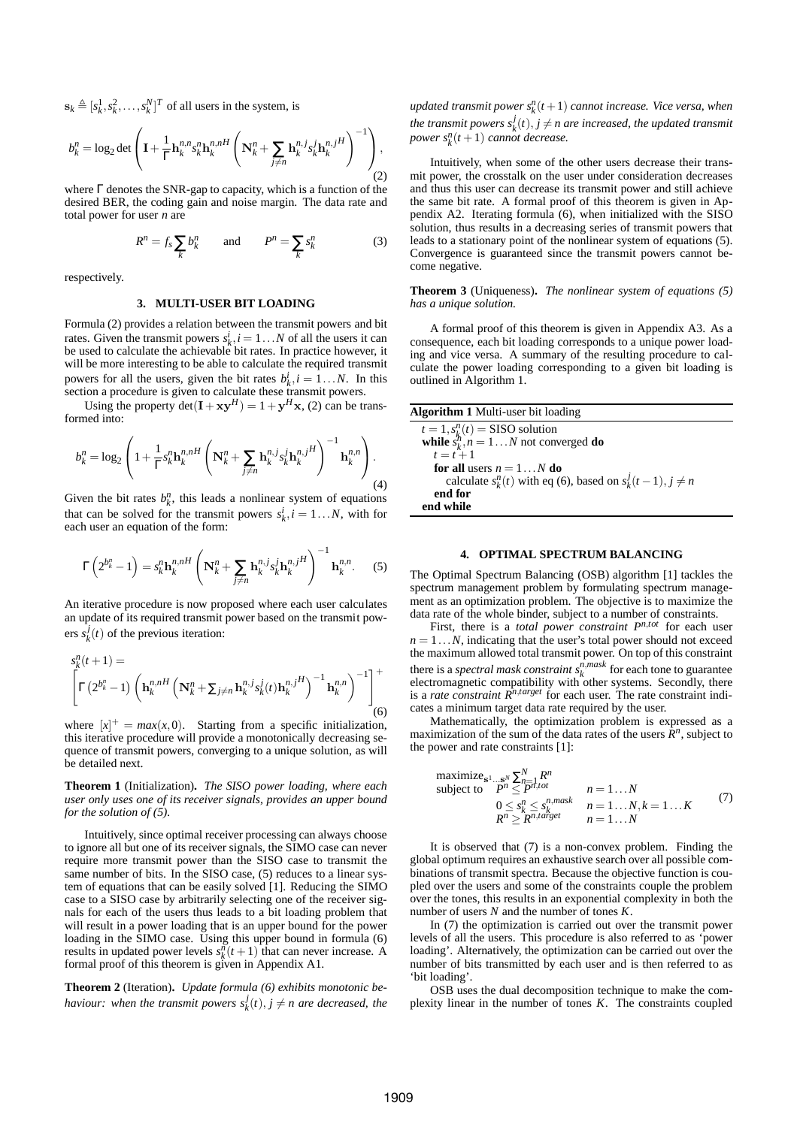$\mathbf{s}_k \triangleq [s_k^1, s_k^2, \dots, s_k^N]^T$  of all users in the system, is

$$
b_k^n = \log_2 \det \left( \mathbf{I} + \frac{1}{\Gamma} \mathbf{h}_k^{n,n} s_k^n \mathbf{h}_k^{n,nH} \left( \mathbf{N}_k^n + \sum_{j \neq n} \mathbf{h}_k^{n,j} s_k^j \mathbf{h}_k^{n,jH} \right)^{-1} \right), \tag{2}
$$

where Γ denotes the SNR-gap to capacity, which is a function of the desired BER, the coding gain and noise margin. The data rate and total power for user *n* are

$$
R^n = f_s \sum_k b_k^n \qquad \text{and} \qquad P^n = \sum_k s_k^n \tag{3}
$$

respectively.

# **3. MULTI-USER BIT LOADING**

Formula (2) provides a relation between the transmit powers and bit rates. Given the transmit powers  $s_k^i$ ,  $i = 1...N$  of all the users it can be used to calculate the achievable bit rates. In practice however, it will be more interesting to be able to calculate the required transmit powers for all the users, given the bit rates  $b_k^i$ ,  $i = 1...N$ . In this powers for an the users, given the off rates  $v_k$ ,  $i = 1...n$ . In section a procedure is given to calculate these transmit powers.

Using the property  $\det(\mathbf{I} + \mathbf{x}\mathbf{y}^H) = 1 + \mathbf{y}^H\mathbf{x}$ , (2) can be transformed into:

$$
b_k^n = \log_2\left(1 + \frac{1}{\Gamma} s_k^n \mathbf{h}_k^{n,nH} \left(\mathbf{N}_k^n + \sum_{j \neq n} \mathbf{h}_k^{n,j} s_k^j \mathbf{h}_k^{n,jH}\right)^{-1} \mathbf{h}_k^{n,n}\right). \tag{4}
$$

Given the bit rates  $b_k^n$ , this leads a nonlinear system of equations that can be solved for the transmit powers  $s_k^i$ ,  $i = 1...N$ , with for each user an equation of the form:

$$
\Gamma\left(2^{b_k^n}-1\right)=s_k^n\mathbf{h}_k^{n,nH}\left(\mathbf{N}_k^n+\sum_{j\neq n}\mathbf{h}_k^{n,j}s_k^j\mathbf{h}_k^{n,jH}\right)^{-1}\mathbf{h}_k^{n,n}.\tag{5}
$$

An iterative procedure is now proposed where each user calculates an update of its required transmit power based on the transmit powers  $s_k^j(t)$  of the previous iteration:

$$
s_k^n(t+1) = \left[ \Gamma(2^{b_k^n} - 1) \left( \mathbf{h}_k^{n,nH} \left( \mathbf{N}_k^n + \sum_{j \neq n} \mathbf{h}_k^{n,j} s_k^j(t) \mathbf{h}_k^{n,jH} \right)^{-1} \mathbf{h}_k^{n,n} \right)^{-1} \right]^+ \tag{6}
$$

where  $[x]^+$  =  $max(x, 0)$ . Starting from a specific initialization, this iterative procedure will provide a monotonically decreasing sequence of transmit powers, converging to a unique solution, as will be detailed next.

**Theorem 1** (Initialization)**.** *The SISO power loading, where each user only uses one of its receiver signals, provides an upper bound for the solution of (5).*

Intuitively, since optimal receiver processing can always choose to ignore all but one of its receiver signals, the SIMO case can never require more transmit power than the SISO case to transmit the same number of bits. In the SISO case, (5) reduces to a linear system of equations that can be easily solved [1]. Reducing the SIMO case to a SISO case by arbitrarily selecting one of the receiver signals for each of the users thus leads to a bit loading problem that will result in a power loading that is an upper bound for the power loading in the SIMO case. Using this upper bound in formula (6) results in updated power levels  $s_k^m(t+1)$  that can never increase. A formal proof of this theorem is given in Appendix A1.

**Theorem 2** (Iteration)**.** *Update formula (6) exhibits monotonic behaviour:* when the transmit powers  $s_k^j(t)$ ,  $j \neq n$  are decreased, the  $u$ pdated transmit power  $s_k^n(t+1)$  cannot increase. Vice versa, when *the transmit powers*  $s_k^j(t)$ ,  $j \neq n$  are increased, the updated transmit *power*  $s_k^n(t+1)$  *cannot decrease.* 

Intuitively, when some of the other users decrease their transmit power, the crosstalk on the user under consideration decreases and thus this user can decrease its transmit power and still achieve the same bit rate. A formal proof of this theorem is given in Appendix A2. Iterating formula (6), when initialized with the SISO solution, thus results in a decreasing series of transmit powers that leads to a stationary point of the nonlinear system of equations (5). Convergence is guaranteed since the transmit powers cannot become negative.

**Theorem 3** (Uniqueness)**.** *The nonlinear system of equations (5) has a unique solution.*

A formal proof of this theorem is given in Appendix A3. As a consequence, each bit loading corresponds to a unique power loading and vice versa. A summary of the resulting procedure to calculate the power loading corresponding to a given bit loading is outlined in Algorithm 1.

| <b>Algorithm 1</b> Multi-user bit loading                                             |  |
|---------------------------------------------------------------------------------------|--|
| $t = 1, s_k^n(t) =$ SISO solution<br>while $s_k^n$ , $n = 1N$ not converged <b>do</b> |  |
|                                                                                       |  |
| $t = t + 1$                                                                           |  |
| <b>for all</b> users $n = 1N$ <b>do</b>                                               |  |
| calculate $s_k^n(t)$ with eq (6), based on $s_k^j(t-1), j \neq n$                     |  |
| end for                                                                               |  |
| end while                                                                             |  |

## **4. OPTIMAL SPECTRUM BALANCING**

The Optimal Spectrum Balancing (OSB) algorithm [1] tackles the spectrum management problem by formulating spectrum management as an optimization problem. The objective is to maximize the data rate of the whole binder, subject to a number of constraints.

First, there is a *total power constraint Pn*,*tot* for each user  $n = 1...N$ , indicating that the user's total power should not exceed the maximum allowed total transmit power. On top of this constraint there is a *spectral mask constraint*  $s_k^{n,max}$  for each tone to guarantee electromagnetic compatibility with other systems. Secondly, there is a *rate constraint Rn*,*target* for each user. The rate constraint indicates a minimum target data rate required by the user.

Mathematically, the optimization problem is expressed as a maximization of the sum of the data rates of the users  $\mathbb{R}^n$ , subject to the power and rate constraints [1]:

maximize<sub>s<sup>1</sup>...s<sup>N</sup></sub> 
$$
\sum_{n=1}^{N} R^n
$$
  
\nsubject to  $P^n \leq P^{n,tot}$   $n = 1...N$   
\n $0 \leq s_k^n \leq s_k^{n,mask}$   $n = 1...N, k = 1...K$   
\n $R^n \geq R^{n,target}$   $n = 1...N$  (7)

It is observed that (7) is a non-convex problem. Finding the global optimum requires an exhaustive search over all possible combinations of transmit spectra. Because the objective function is coupled over the users and some of the constraints couple the problem over the tones, this results in an exponential complexity in both the number of users *N* and the number of tones *K*.

In (7) the optimization is carried out over the transmit power levels of all the users. This procedure is also referred to as 'power loading'. Alternatively, the optimization can be carried out over the number of bits transmitted by each user and is then referred to as 'bit loading'.

OSB uses the dual decomposition technique to make the complexity linear in the number of tones *K*. The constraints coupled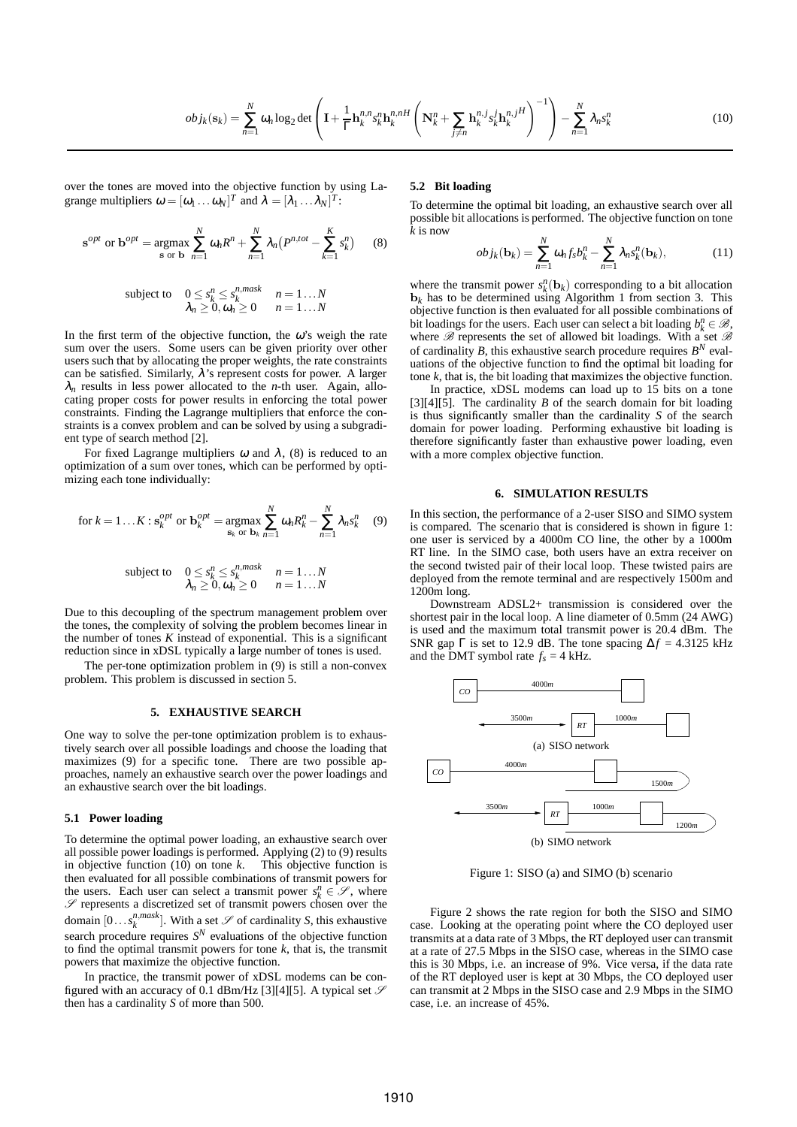$$
obj_k(\mathbf{s}_k) = \sum_{n=1}^N \omega_n \log_2 \det \left( \mathbf{I} + \frac{1}{\Gamma} \mathbf{h}_k^{n,n} s_k^n \mathbf{h}_k^{n,H} \left( \mathbf{N}_k^n + \sum_{j \neq n} \mathbf{h}_k^{n,j} s_k^j \mathbf{h}_k^{n,jH} \right)^{-1} \right) - \sum_{n=1}^N \lambda_n s_k^n \tag{10}
$$

over the tones are moved into the objective function by using Lagrange multipliers  $\omega = [\omega_1 \dots \omega_N]^T$  and  $\lambda = [\lambda_1 \dots \lambda_N]^T$ :

$$
\mathbf{s}^{opt} \text{ or } \mathbf{b}^{opt} = \underset{\mathbf{s} \text{ or } \mathbf{b}}{\operatorname{argmax}} \sum_{n=1}^{N} \omega_n R^n + \sum_{n=1}^{N} \lambda_n \left( P^{n, tot} - \sum_{k=1}^{K} s_k^n \right) \tag{8}
$$

subject to 
$$
0 \leq s_k^n \leq s_k^{n,mask}
$$
  $n = 1...N$   
 $\lambda_n \geq 0, \omega_n \geq 0$   $n = 1...N$ 

In the first term of the objective function, the  $\omega$ 's weigh the rate sum over the users. Some users can be given priority over other users such that by allocating the proper weights, the rate constraints can be satisfied. Similarly,  $\lambda$ 's represent costs for power. A larger  $\lambda_n$  results in less power allocated to the *n*-th user. Again, allocating proper costs for power results in enforcing the total power constraints. Finding the Lagrange multipliers that enforce the constraints is a convex problem and can be solved by using a subgradient type of search method [2].

For fixed Lagrange multipliers  $\omega$  and  $\lambda$ , (8) is reduced to an optimization of a sum over tones, which can be performed by optimizing each tone individually:

for 
$$
k = 1...K: s_k^{opt}
$$
 or  $\mathbf{b}_k^{opt} = \underset{\mathbf{s}_k}{\operatorname{argmax}} \sum_{\mathbf{b}_k}^N \omega_n R_k^n - \sum_{n=1}^N \lambda_n s_k^n$  (9)

subject to 
$$
0 \le s_k^n \le s_k^{n, mask}
$$
  $n = 1...N$   
 $\lambda_n \ge 0, \omega_n \ge 0$   $n = 1...N$ 

Due to this decoupling of the spectrum management problem over the tones, the complexity of solving the problem becomes linear in the number of tones  $K$  instead of exponential. This is a significant reduction since in xDSL typically a large number of tones is used.

The per-tone optimization problem in (9) is still a non-convex problem. This problem is discussed in section 5.

#### **5. EXHAUSTIVE SEARCH**

One way to solve the per-tone optimization problem is to exhaustively search over all possible loadings and choose the loading that maximizes (9) for a specific tone. There are two possible approaches, namely an exhaustive search over the power loadings and an exhaustive search over the bit loadings.

#### **5.1 Power loading**

To determine the optimal power loading, an exhaustive search over all possible power loadings is performed. Applying (2) to (9) results in objective function (10) on tone *k*. This objective function is then evaluated for all possible combinations of transmit powers for the users. Each user can select a transmit power  $s_k^n \in \mathcal{S}$ , where  $S$  represents a discretized set of transmit powers chosen over the domain  $[0...s_k^{n,maxk}]$ . With a set  $\mathscr S$  of cardinality *S*, this exhaustive search procedure requires  $S<sup>N</sup>$  evaluations of the objective function to find the optimal transmit powers for tone *k*, that is, the transmit powers that maximize the objective function.

In practice, the transmit power of xDSL modems can be configured with an accuracy of 0.1 dBm/Hz [3][4][5]. A typical set  $\mathcal S$ then has a cardinality *S* of more than 500.

## **5.2 Bit loading**

To determine the optimal bit loading, an exhaustive search over all possible bit allocations is performed. The objective function on tone *k* is now

$$
obj_k(\mathbf{b}_k) = \sum_{n=1}^{N} \omega_n f_s b_k^n - \sum_{n=1}^{N} \lambda_n s_k^n(\mathbf{b}_k),
$$
 (11)

where the transmit power  $s_k^n(\mathbf{b}_k)$  corresponding to a bit allocation  **has to be determined using Algorithm 1 from section 3. This** objective function is then evaluated for all possible combinations of bit loadings for the users. Each user can select a bit loading  $b_k^n \in \mathcal{B}$ , where  $\mathscr B$  represents the set of allowed bit loadings. With a set  $\mathscr B$ of cardinality *B*, this exhaustive search procedure requires  $B<sup>N</sup>$  evaluations of the objective function to find the optimal bit loading for tone *k*, that is, the bit loading that maximizes the objective function.

In practice, xDSL modems can load up to 15 bits on a tone  $[3][4][5]$ . The cardinality *B* of the search domain for bit loading is thus significantly smaller than the cardinality *S* of the search domain for power loading. Performing exhaustive bit loading is therefore significantly faster than exhaustive power loading, even with a more complex objective function.

#### **6. SIMULATION RESULTS**

In this section, the performance of a 2-user SISO and SIMO system is compared. The scenario that is considered is shown in figure 1: one user is serviced by a 4000m CO line, the other by a 1000m RT line. In the SIMO case, both users have an extra receiver on the second twisted pair of their local loop. These twisted pairs are deployed from the remote terminal and are respectively 1500m and 1200m long.

Downstream ADSL2+ transmission is considered over the shortest pair in the local loop. A line diameter of 0.5mm (24 AWG) is used and the maximum total transmit power is 20.4 dBm. The SNR gap  $\Gamma$  is set to 12.9 dB. The tone spacing  $\Delta f = 4.3125$  kHz and the DMT symbol rate  $f_s = 4$  kHz.



Figure 1: SISO (a) and SIMO (b) scenario

Figure 2 shows the rate region for both the SISO and SIMO case. Looking at the operating point where the CO deployed user transmits at a data rate of 3 Mbps, the RT deployed user can transmit at a rate of 27.5 Mbps in the SISO case, whereas in the SIMO case this is 30 Mbps, i.e. an increase of 9%. Vice versa, if the data rate of the RT deployed user is kept at 30 Mbps, the CO deployed user can transmit at 2 Mbps in the SISO case and 2.9 Mbps in the SIMO case, i.e. an increase of 45%.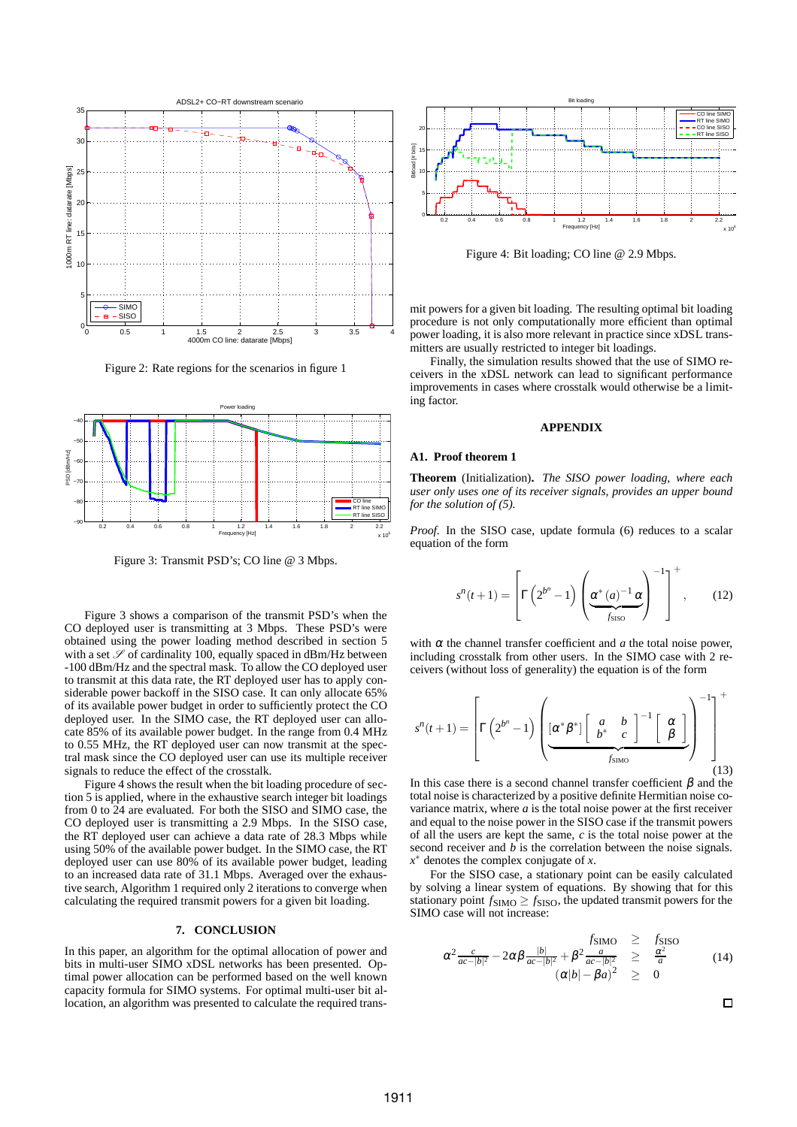

Figure 2: Rate regions for the scenarios in figure 1



Figure 3: Transmit PSD's; CO line @ 3 Mbps.

Figure 3 shows a comparison of the transmit PSD's when the CO deployed user is transmitting at 3 Mbps. These PSD's were obtained using the power loading method described in section 5 with a set  $\mathscr S$  of cardinality 100, equally spaced in dBm/Hz between -100 dBm/Hz and the spectral mask. To allow the CO deployed user to transmit at this data rate, the RT deployed user has to apply considerable power backoff in the SISO case. It can only allocate 65% of its available power budget in order to sufficiently protect the CO deployed user. In the SIMO case, the RT deployed user can allocate 85% of its available power budget. In the range from 0.4 MHz to 0.55 MHz, the RT deployed user can now transmit at the spectral mask since the CO deployed user can use its multiple receiver signals to reduce the effect of the crosstalk.

Figure 4 shows the result when the bit loading procedure of section 5 is applied, where in the exhaustive search integer bit loadings from 0 to 24 are evaluated. For both the SISO and SIMO case, the CO deployed user is transmitting a 2.9 Mbps. In the SISO case, the RT deployed user can achieve a data rate of 28.3 Mbps while using 50% of the available power budget. In the SIMO case, the RT deployed user can use 80% of its available power budget, leading to an increased data rate of 31.1 Mbps. Averaged over the exhaustive search, Algorithm 1 required only 2 iterations to converge when calculating the required transmit powers for a given bit loading.

### **7. CONCLUSION**

In this paper, an algorithm for the optimal allocation of power and bits in multi-user SIMO xDSL networks has been presented. Optimal power allocation can be performed based on the well known capacity formula for SIMO systems. For optimal multi-user bit allocation, an algorithm was presented to calculate the required trans-



Figure 4: Bit loading; CO line @ 2.9 Mbps.

mit powers for a given bit loading. The resulting optimal bit loading procedure is not only computationally more efficient than optimal power loading, it is also more relevant in practice since xDSL transmitters are usually restricted to integer bit loadings.

Finally, the simulation results showed that the use of SIMO receivers in the xDSL network can lead to significant performance improvements in cases where crosstalk would otherwise be a limiting factor.

#### **APPENDIX**

#### **A1. Proof theorem 1**

**Theorem** (Initialization)**.** *The SISO power loading, where each user only uses one of its receiver signals, provides an upper bound for the solution of (5).*

*Proof.* In the SISO case, update formula (6) reduces to a scalar equation of the form

$$
s^{n}(t+1) = \left[\Gamma\left(2^{b^{n}}-1\right)\left(\underbrace{\alpha^{*}(a)^{-1}\alpha}_{f_{\text{SISO}}}\right)^{-1}\right]^{+},\qquad(12)
$$

with  $\alpha$  the channel transfer coefficient and  $\alpha$  the total noise power, including crosstalk from other users. In the SIMO case with 2 receivers (without loss of generality) the equation is of the form

$$
s^{n}(t+1) = \left[\Gamma\left(2^{b^{n}}-1\right)\left(\underbrace{\begin{bmatrix}\alpha^{*}\beta^{*}\end{bmatrix}\begin{bmatrix}a & b\\b^{*} & c\end{bmatrix}^{-1}\begin{bmatrix}\alpha\\ \beta\end{bmatrix}}_{f_{\text{SIMO}}}\right)^{-1}\right]^{+}
$$
\n(13)

In this case there is a second channel transfer coefficient  $\beta$  and the total noise is characterized by a positive definite Hermitian noise covariance matrix, where *a* is the total noise power at the first receiver and equal to the noise power in the SISO case if the transmit powers of all the users are kept the same, *c* is the total noise power at the second receiver and *b* is the correlation between the noise signals. *x* <sup>∗</sup> denotes the complex conjugate of *x*.

For the SISO case, a stationary point can be easily calculated by solving a linear system of equations. By showing that for this stationary point  $f_{\text{SIMO}} \ge f_{\text{SISO}}$ , the updated transmit powers for the SIMO case will not increase:

$$
\alpha^2 \frac{c}{ac - |b|^2} - 2\alpha \beta \frac{|b|}{ac - |b|^2} + \beta^2 \frac{a}{ac - |b|^2} \ge \frac{\alpha^2}{a}
$$
\n
$$
(\alpha|b| - \beta a)^2 \ge 0
$$
\n(14)

 $\Box$